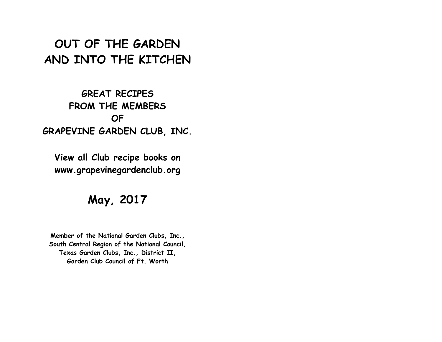# **OUT OF THE GARDEN AND INTO THE KITCHEN**

# **GREAT RECIPES FROM THE MEMBERS OF GRAPEVINE GARDEN CLUB, INC.**

**View all Club recipe books on www.grapevinegardenclub.org**

# **May, 2017**

**Member of the National Garden Clubs, Inc., South Central Region of the National Council, Texas Garden Clubs, Inc., District II, Garden Club Council of Ft. Worth**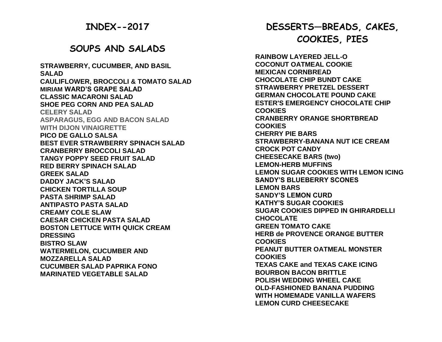## **INDEX--2017**

## **SOUPS AND SALADS**

**STRAWBERRY, CUCUMBER, AND BASIL SALAD CAULIFLOWER, BROCCOLI & TOMATO SALAD MIRIAM WARD'S GRAPE SALAD CLASSIC MACARONI SALAD SHOE PEG CORN AND PEA SALAD CELERY SALAD ASPARAGUS, EGG AND BACON SALAD WITH DIJON VINAIGRETTE PICO DE GALLO SALSA BEST EVER STRAWBERRY SPINACH SALAD CRANBERRY BROCCOLI SALAD TANGY POPPY SEED FRUIT SALAD RED BERRY SPINACH SALAD GREEK SALAD DADDY JACK'S SALAD CHICKEN TORTILLA SOUP PASTA SHRIMP SALAD ANTIPASTO PASTA SALAD CREAMY COLE SLAW CAESAR CHICKEN PASTA SALAD BOSTON LETTUCE WITH QUICK CREAM DRESSING BISTRO SLAW WATERMELON, CUCUMBER AND MOZZARELLA SALAD CUCUMBER SALAD PAPRIKA FONO MARINATED VEGETABLE SALAD**

# **DESSERTS—BREADS, CAKES, COOKIES, PIES**

**RAINBOW LAYERED JELL-O COCONUT OATMEAL COOKIE MEXICAN CORNBREAD CHOCOLATE CHIP BUNDT CAKE STRAWBERRY PRETZEL DESSERT GERMAN CHOCOLATE POUND CAKE ESTER'S EMERGENCY CHOCOLATE CHIP COOKIES CRANBERRY ORANGE SHORTBREAD COOKIES CHERRY PIE BARS STRAWBERRY-BANANA NUT ICE CREAM CROCK POT CANDY CHEESECAKE BARS (two) LEMON-HERB MUFFINS LEMON SUGAR COOKIES WITH LEMON ICING SANDY'S BLUEBERRY SCONES LEMON BARS SANDY'S LEMON CURD KATHY'S SUGAR COOKIES SUGAR COOKIES DIPPED IN GHIRARDELLI CHOCOLATE GREEN TOMATO CAKE HERB de PROVENCE ORANGE BUTTER COOKIES PEANUT BUTTER OATMEAL MONSTER COOKIES TEXAS CAKE and TEXAS CAKE ICING BOURBON BACON BRITTLE POLISH WEDDING WHEEL CAKE OLD-FASHIONED BANANA PUDDING WITH HOMEMADE VANILLA WAFERS LEMON CURD CHEESECAKE**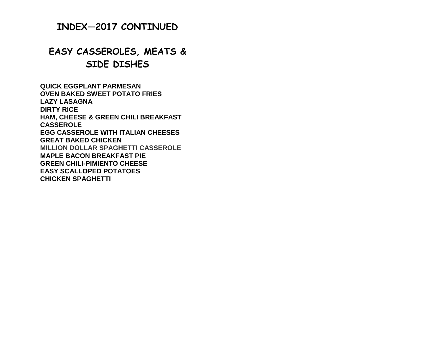## **INDEX—2017 CONTINUED**

# **EASY CASSEROLES, MEATS & SIDE DISHES**

**QUICK EGGPLANT PARMESAN OVEN BAKED SWEET POTATO FRIES LAZY LASAGNA DIRTY RICE HAM, CHEESE & GREEN CHILI BREAKFAST CASSEROLE EGG CASSEROLE WITH ITALIAN CHEESES GREAT BAKED CHICKEN MILLION DOLLAR SPAGHETTI CASSEROLE MAPLE BACON BREAKFAST PIE GREEN CHILI-PIMIENTO CHEESE EASY SCALLOPED POTATOES CHICKEN SPAGHETTI**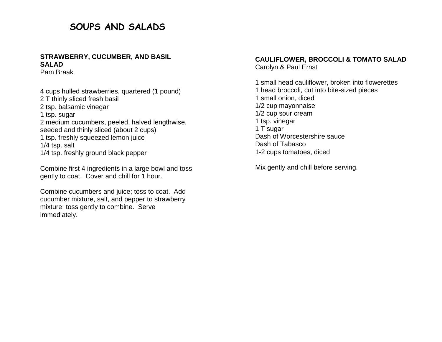## **SOUPS AND SALADS**

## **STRAWBERRY, CUCUMBER, AND BASIL SALAD**

Pam Braak

4 cups hulled strawberries, quartered (1 pound) 2 T thinly sliced fresh basil 2 tsp. balsamic vinegar 1 tsp. sugar 2 medium cucumbers, peeled, halved lengthwise, seeded and thinly sliced (about 2 cups) 1 tsp. freshly squeezed lemon juice 1/4 tsp. salt 1/4 tsp. freshly ground black pepper

Combine first 4 ingredients in a large bowl and toss gently to coat. Cover and chill for 1 hour.

Combine cucumbers and juice; toss to coat. Add cucumber mixture, salt, and pepper to strawberry mixture; toss gently to combine. Serve immediately.

#### **CAULIFLOWER, BROCCOLI & TOMATO SALAD** Carolyn & Paul Ernst

1 small head cauliflower, broken into flowerettes 1 head broccoli, cut into bite-sized pieces 1 small onion, diced 1/2 cup mayonnaise 1/2 cup sour cream 1 tsp. vinegar 1 T sugar Dash of Worcestershire sauce Dash of Tabasco 1-2 cups tomatoes, diced

Mix gently and chill before serving.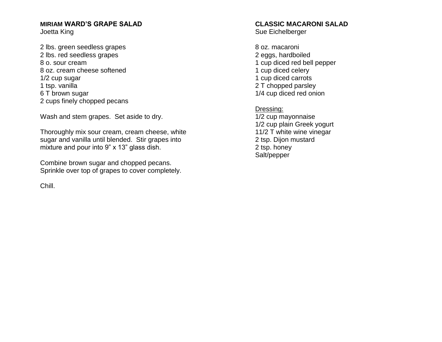#### **MIRIAM WARD'S GRAPE SALAD** Joetta King

2 lbs. green seedless grapes 2 lbs. red seedless grapes 8 o. sour cream 8 oz. cream cheese softened 1/2 cup sugar 1 tsp. vanilla 6 T brown sugar 2 cups finely chopped pecans

Wash and stem grapes. Set aside to dry.

Thoroughly mix sour cream, cream cheese, white sugar and vanilla until blended. Stir grapes into mixture and pour into 9" x 13" glass dish.

Combine brown sugar and chopped pecans. Sprinkle over top of grapes to cover completely.

Chill.

## **CLASSIC MACARONI SALAD**

Sue Eichelberger

8 oz. macaroni 2 eggs, hardboiled 1 cup diced red bell pepper 1 cup diced celery 1 cup diced carrots 2 T chopped parsley 1/4 cup diced red onion

Dressing:

1/2 cup mayonnaise 1/2 cup plain Greek yogurt 11/2 T white wine vinegar 2 tsp. Dijon mustard 2 tsp. honey Salt/pepper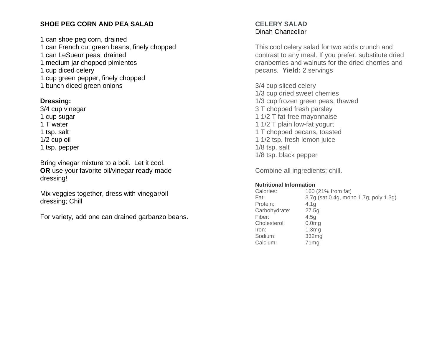## **SHOE PEG CORN AND PEA SALAD**

1 can shoe peg corn, drained 1 can French cut green beans, finely chopped 1 can LeSueur peas, drained 1 medium jar chopped pimientos 1 cup diced celery 1 cup green pepper, finely chopped 1 bunch diced green onions

## **Dressing:**

3/4 cup vinegar 1 cup sugar 1 T water 1 tsp. salt 1/2 cup oil 1 tsp. pepper

Bring vinegar mixture to a boil. Let it cool. **OR** use your favorite oil/vinegar ready-made dressing!

Mix veggies together, dress with vinegar/oil dressing; Chill

For variety, add one can drained garbanzo beans.

## **CELERY SALAD** Dinah Chancellor

This cool celery salad for two adds crunch and contrast to any meal. If you prefer, substitute dried cranberries and walnuts for the dried cherries and pecans. **Yield:** 2 servings

3/4 cup sliced celery 1/3 cup dried sweet cherries 1/3 cup frozen green peas, thawed 3 T chopped fresh parsley 1 1/2 T fat-free mayonnaise 1 1/2 T plain low-fat yogurt 1 T chopped pecans, toasted 1 1/2 tsp. fresh lemon juice 1/8 tsp. salt 1/8 tsp. black pepper

Combine all ingredients; chill.

#### **Nutritional Information**

| Calories:     | 160 (21% from fat)                    |
|---------------|---------------------------------------|
| Fat:          | 3.7g (sat 0.4g, mono 1.7g, poly 1.3g) |
| Protein:      | 4.1 <sub>q</sub>                      |
| Carbohydrate: | 27.5q                                 |
| Fiber:        | 4.5q                                  |
| Cholesterol:  | 0.0 <sub>mg</sub>                     |
| Iron:         | 1.3mg                                 |
| Sodium:       | 332mg                                 |
| Calcium:      | 71mg                                  |
|               |                                       |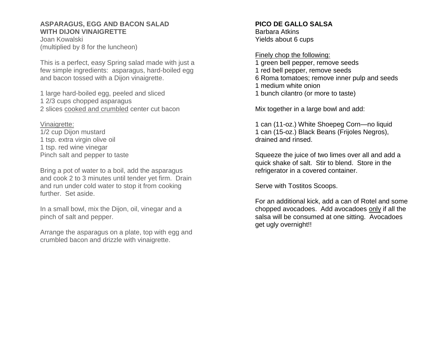#### **ASPARAGUS, EGG AND BACON SALAD WITH DIJON VINAIGRETTE**

Joan Kowalski (multiplied by 8 for the luncheon)

This is a perfect, easy Spring salad made with just a few simple ingredients: asparagus, hard-boiled egg and bacon tossed with a Dijon vinaigrette.

1 large hard-boiled egg, peeled and sliced 1 2/3 cups chopped asparagus 2 slices cooked and crumbled center cut bacon

Vinaigrette: 1/2 cup Dijon mustard 1 tsp. extra virgin olive oil 1 tsp. red wine vinegar Pinch salt and pepper to taste

Bring a pot of water to a boil, add the asparagus and cook 2 to 3 minutes until tender yet firm. Drain and run under cold water to stop it from cooking further. Set aside.

In a small bowl, mix the Dijon, oil, vinegar and a pinch of salt and pepper.

Arrange the asparagus on a plate, top with egg and crumbled bacon and drizzle with vinaigrette.

## **PICO DE GALLO SALSA**

Barbara Atkins Yields about 6 cups

Finely chop the following: 1 green bell pepper, remove seeds 1 red bell pepper, remove seeds 6 Roma tomatoes; remove inner pulp and seeds 1 medium white onion 1 bunch cilantro (or more to taste)

Mix together in a large bowl and add:

1 can (11-oz.) White Shoepeg Corn—no liquid 1 can (15-oz.) Black Beans (Frijoles Negros), drained and rinsed.

Squeeze the juice of two limes over all and add a quick shake of salt. Stir to blend. Store in the refrigerator in a covered container.

Serve with Tostitos Scoops.

For an additional kick, add a can of Rotel and some chopped avocadoes. Add avocadoes only if all the salsa will be consumed at one sitting. Avocadoes get ugly overnight!!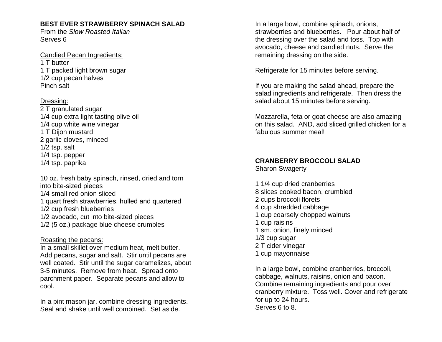## **BEST EVER STRAWBERRY SPINACH SALAD**

From the *Slow Roasted Italian* Serves 6

Candied Pecan Ingredients: 1 T butter 1 T packed light brown sugar 1/2 cup pecan halves Pinch salt

## Dressing:

2 T granulated sugar 1/4 cup extra light tasting olive oil 1/4 cup white wine vinegar 1 T Dijon mustard 2 garlic cloves, minced 1/2 tsp. salt 1/4 tsp. pepper 1/4 tsp. paprika

10 oz. fresh baby spinach, rinsed, dried and torn into bite-sized pieces 1/4 small red onion sliced 1 quart fresh strawberries, hulled and quartered 1/2 cup fresh blueberries 1/2 avocado, cut into bite-sized pieces 1/2 (5 oz.) package blue cheese crumbles

### Roasting the pecans:

In a small skillet over medium heat, melt butter. Add pecans, sugar and salt. Stir until pecans are well coated. Stir until the sugar caramelizes, about 3-5 minutes. Remove from heat. Spread onto parchment paper. Separate pecans and allow to cool.

In a pint mason jar, combine dressing ingredients. Seal and shake until well combined. Set aside.

In a large bowl, combine spinach, onions, strawberries and blueberries. Pour about half of the dressing over the salad and toss. Top with avocado, cheese and candied nuts. Serve the remaining dressing on the side.

Refrigerate for 15 minutes before serving.

If you are making the salad ahead, prepare the salad ingredients and refrigerate. Then dress the salad about 15 minutes before serving.

Mozzarella, feta or goat cheese are also amazing on this salad. AND, add sliced grilled chicken for a fabulous summer meal!

## **CRANBERRY BROCCOLI SALAD**

Sharon Swagerty

1 1/4 cup dried cranberries 8 slices cooked bacon, crumbled 2 cups broccoli florets 4 cup shredded cabbage 1 cup coarsely chopped walnuts 1 cup raisins 1 sm. onion, finely minced 1/3 cup sugar 2 T cider vinegar 1 cup mayonnaise

In a large bowl, combine cranberries, broccoli, cabbage, walnuts, raisins, onion and bacon. Combine remaining ingredients and pour over cranberry mixture. Toss well. Cover and refrigerate for up to 24 hours. Serves 6 to 8.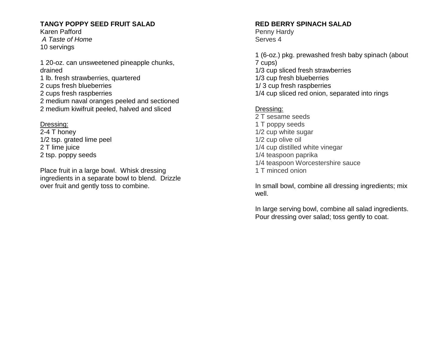## **TANGY POPPY SEED FRUIT SALAD**

Karen Pafford *A Taste of Home* 10 servings

1 20-oz. can unsweetened pineapple chunks, drained 1 lb. fresh strawberries, quartered 2 cups fresh blueberries 2 cups fresh raspberries 2 medium naval oranges peeled and sectioned 2 medium kiwifruit peeled, halved and sliced

Dressing:

2-4 T honey 1/2 tsp. grated lime peel 2 T lime juice 2 tsp. poppy seeds

Place fruit in a large bowl. Whisk dressing ingredients in a separate bowl to blend. Drizzle over fruit and gently toss to combine.

## **RED BERRY SPINACH SALAD**

Penny Hardy Serves 4

1 (6-oz.) pkg. prewashed fresh baby spinach (about 7 cups) 1/3 cup sliced fresh strawberries 1/3 cup fresh blueberries 1/ 3 cup fresh raspberries 1/4 cup sliced red onion, separated into rings

## Dressing:

2 T sesame seeds 1 T poppy seeds 1/2 cup white sugar 1/2 cup olive oil 1/4 cup distilled white vinegar 1/4 teaspoon paprika 1/4 teaspoon Worcestershire sauce 1 T minced onion

In small bowl, combine all dressing ingredients; mix well.

In large serving bowl, combine all salad ingredients. Pour dressing over salad; toss gently to coat.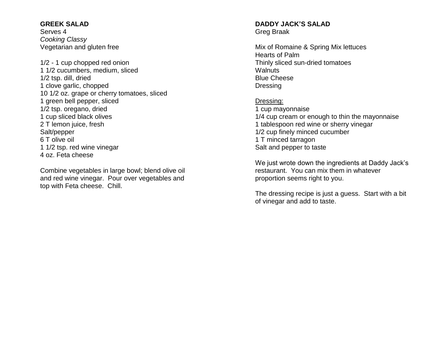#### **GREEK SALAD**

Serves 4 *Cooking Classy* Vegetarian and gluten free

1/2 - 1 cup chopped red onion 1 1/2 cucumbers, medium, sliced 1/2 tsp. dill, dried 1 clove garlic, chopped 10 1/2 oz. grape or cherry tomatoes, sliced 1 green bell pepper, sliced 1/2 tsp. oregano, dried 1 cup sliced black olives 2 T lemon juice, fresh Salt/pepper 6 T olive oil 1 1/2 tsp. red wine vinegar 4 oz. Feta cheese

Combine vegetables in large bowl; blend olive oil and red wine vinegar. Pour over vegetables and top with Feta cheese. Chill.

#### **DADDY JACK'S SALAD** Greg Braak

Mix of Romaine & Spring Mix lettuces Hearts of Palm Thinly sliced sun-dried tomatoes **Walnuts** Blue Cheese Dressing

#### Dressing:

1 cup mayonnaise 1/4 cup cream or enough to thin the mayonnaise 1 tablespoon red wine or sherry vinegar 1/2 cup finely minced cucumber 1 T minced tarragon Salt and pepper to taste

We just wrote down the ingredients at Daddy Jack's restaurant. You can mix them in whatever proportion seems right to you.

The dressing recipe is just a guess. Start with a bit of vinegar and add to taste.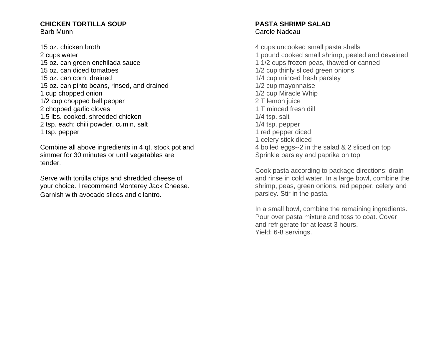#### **CHICKEN TORTILLA SOUP** Barb Munn

15 oz. chicken broth 2 cups water 15 oz. can green enchilada sauce 15 oz. can diced tomatoes 15 oz. can corn, drained 15 oz. can pinto beans, rinsed, and drained 1 cup chopped onion 1/2 cup chopped bell pepper 2 chopped garlic cloves 1.5 lbs. cooked, shredded chicken 2 tsp. each: chili powder, cumin, salt 1 tsp. pepper

Combine all above ingredients in 4 qt. stock pot and simmer for 30 minutes or until vegetables are tender.

Serve with tortilla chips and shredded cheese of your choice. I recommend Monterey Jack Cheese. Garnish with avocado slices and cilantro.

#### **PASTA SHRIMP SALAD** Carole Nadeau

4 cups uncooked small pasta shells 1 pound cooked small shrimp, peeled and deveined 1 1/2 cups frozen peas, thawed or canned 1/2 cup thinly sliced green onions 1/4 cup minced fresh parsley 1/2 cup mayonnaise 1/2 cup Miracle Whip 2 T lemon juice 1 T minced fresh dill 1/4 tsp. salt 1/4 tsp. pepper 1 red pepper diced 1 celery stick diced 4 boiled eggs--2 in the salad & 2 sliced on top Sprinkle parsley and paprika on top

Cook pasta according to package directions; drain and rinse in cold water. In a large bowl, combine the shrimp, peas, green onions, red pepper, celery and parsley. Stir in the pasta.

In a small bowl, combine the remaining ingredients. Pour over pasta mixture and toss to coat. Cover and refrigerate for at least 3 hours. Yield: 6-8 servings.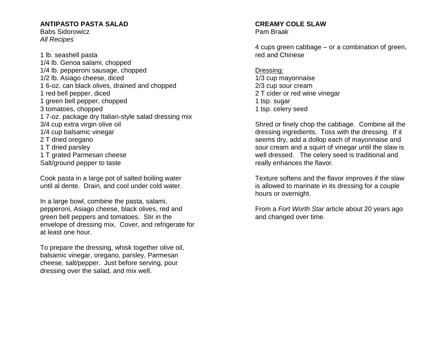## **ANTIPASTO PASTA SALAD**

Babs Sidorowicz *All Recipes*

1 lb. seashell pasta 1/4 lb. Genoa salami, chopped 1/4 lb. pepperoni sausage, chopped 1/2 lb. Asiago cheese, diced 1 6-oz. can black olives, drained and chopped 1 red bell pepper, diced 1 green bell pepper, chopped 3 tomatoes, chopped 1 7-oz. package dry Italian-style salad dressing mix 3/4 cup extra virgin olive oil 1/4 cup balsamic vinegar 2 T dried oregano 1 T dried parsley 1 T grated Parmesan cheese Salt/ground pepper to taste

Cook pasta in a large pot of salted boiling water until al dente. Drain, and cool under cold water.

In a large bowl, combine the pasta, salami, pepperoni, Asiago cheese, black olives, red and green bell peppers and tomatoes. Stir in the envelope of dressing mix. Cover, and refrigerate for at least one hour.

To prepare the dressing, whisk together olive oil, balsamic vinegar, oregano, parsley, Parmesan cheese, salt/pepper. Just before serving, pour dressing over the salad, and mix well.

# **CREAMY COLE SLAW**

Pam Braak

4 cups green cabbage – or a combination of green, red and Chinese

Dressing: 1/3 cup mayonnaise 2/3 cup sour cream 2 T cider or red wine vinegar 1 tsp. sugar 1 tsp. celery seed

Shred or finely chop the cabbage. Combine all the dressing ingredients. Toss with the dressing. If it seems dry, add a dollop each of mayonnaise and sour cream and a squirt of vinegar until the slaw is well dressed. The celery seed is traditional and really enhances the flavor.

Texture softens and the flavor improves if the slaw is allowed to marinate in its dressing for a couple hours or overnight.

From a *Fort Worth Star* article about 20 years ago and changed over time.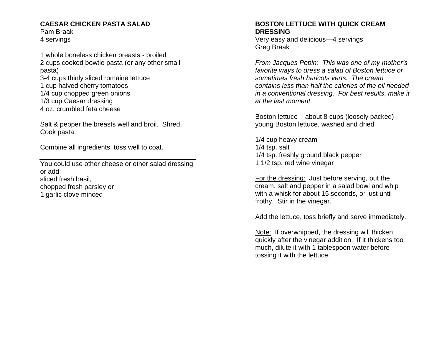#### **CAESAR CHICKEN PASTA SALAD**

Pam Braak 4 servings

1 whole boneless chicken breasts - broiled 2 cups cooked bowtie pasta (or any other small pasta) 3-4 cups thinly sliced romaine lettuce 1 cup halved cherry tomatoes 1/4 cup chopped green onions 1/3 cup Caesar dressing 4 oz. crumbled feta cheese

Salt & pepper the breasts well and broil. Shred. Cook pasta.

Combine all ingredients, toss well to coat.

You could use other cheese or other salad dressing or add: sliced fresh basil, chopped fresh parsley or 1 garlic clove minced

#### **BOSTON LETTUCE WITH QUICK CREAM DRESSING**

Very easy and delicious—4 servings Greg Braak

*From Jacques Pepin: This was one of my mother's favorite ways to dress a salad of Boston lettuce or sometimes fresh haricots verts. The cream contains less than half the calories of the oil needed in a conventional dressing. For best results, make it at the last moment.* 

Boston lettuce – about 8 cups (loosely packed) young Boston lettuce, washed and dried

1/4 cup heavy cream 1/4 tsp. salt 1/4 tsp. freshly ground black pepper 1 1/2 tsp. red wine vinegar

For the dressing: Just before serving, put the cream, salt and pepper in a salad bowl and whip with a whisk for about 15 seconds, or just until frothy. Stir in the vinegar.

Add the lettuce, toss briefly and serve immediately.

Note: If overwhipped, the dressing will thicken quickly after the vinegar addition. If it thickens too much, dilute it with 1 tablespoon water before tossing it with the lettuce.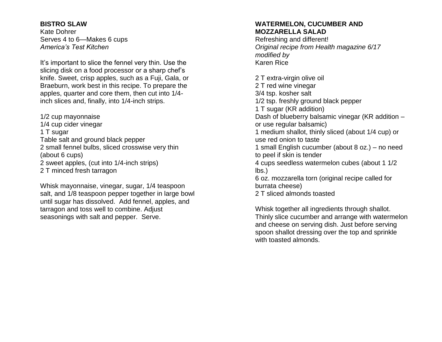#### **BISTRO SLAW**

Kate Dohrer Serves 4 to 6—Makes 6 cups *America's Test Kitchen*

It's important to slice the fennel very thin. Use the slicing disk on a food processor or a sharp chef's knife. Sweet, crisp apples, such as a Fuji, Gala, or Braeburn, work best in this recipe. To prepare the apples, quarter and core them, then cut into 1/4 inch slices and, finally, into 1/4-inch strips.

1/2 cup mayonnaise 1/4 cup cider vinegar 1 T sugar Table salt and ground black pepper 2 small fennel bulbs, sliced crosswise very thin (about 6 cups) 2 sweet apples, (cut into 1/4-inch strips) 2 T minced fresh tarragon

Whisk mayonnaise, vinegar, sugar, 1/4 teaspoon salt, and 1/8 teaspoon pepper together in large bowl until sugar has dissolved. Add fennel, apples, and tarragon and toss well to combine. Adjust seasonings with salt and pepper. Serve.

### **WATERMELON, CUCUMBER AND MOZZARELLA SALAD**

Refreshing and different! *Original recipe from Health magazine 6/17 modified by* Karen Rice

2 T extra-virgin olive oil 2 T red wine vinegar 3/4 tsp. kosher salt 1/2 tsp. freshly ground black pepper 1 T sugar (KR addition) Dash of blueberry balsamic vinegar (KR addition – or use regular balsamic) 1 medium shallot, thinly sliced (about 1/4 cup) or use red onion to taste 1 small English cucumber (about 8 oz.) – no need to peel if skin is tender 4 cups seedless watermelon cubes (about 1 1/2 lbs.) 6 oz. mozzarella torn (original recipe called for burrata cheese) 2 T sliced almonds toasted

Whisk together all ingredients through shallot. Thinly slice cucumber and arrange with watermelon and cheese on serving dish. Just before serving spoon shallot dressing over the top and sprinkle with toasted almonds.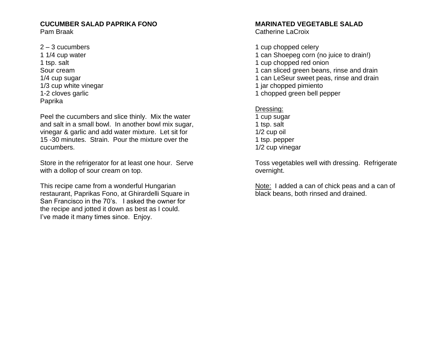## **CUCUMBER SALAD PAPRIKA FONO**

Pam Braak

 $2 - 3$  cucumbers 1 1/4 cup water 1 tsp. salt Sour cream 1/4 cup sugar 1/3 cup white vinegar 1-2 cloves garlic Paprika

Peel the cucumbers and slice thinly. Mix the water and salt in a small bowl. In another bowl mix sugar, vinegar & garlic and add water mixture. Let sit for 15 -30 minutes. Strain. Pour the mixture over the cucumbers.

Store in the refrigerator for at least one hour. Serve with a dollop of sour cream on top.

This recipe came from a wonderful Hungarian restaurant, Paprikas Fono, at Ghirardelli Square in San Francisco in the 70's. I asked the owner for the recipe and jotted it down as best as I could. I've made it many times since. Enjoy.

## **MARINATED VEGETABLE SALAD**

Catherine LaCroix

1 cup chopped celery 1 can Shoepeg corn (no juice to drain!) 1 cup chopped red onion 1 can sliced green beans, rinse and drain 1 can LeSeur sweet peas, rinse and drain 1 jar chopped pimiento 1 chopped green bell pepper

## Dressing:

1 cup sugar 1 tsp. salt 1/2 cup oil 1 tsp. pepper 1/2 cup vinegar

Toss vegetables well with dressing. Refrigerate overnight.

Note: I added a can of chick peas and a can of black beans, both rinsed and drained.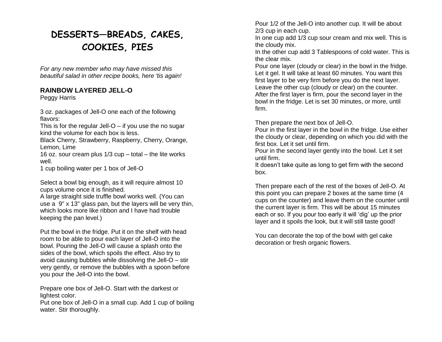# **DESSERTS—BREADS, CAKES, COOKIES, PIES**

*For any new member who may have missed this beautiful salad in other recipe books, here 'tis again!*

## **RAINBOW LAYERED JELL-O**

Peggy Harris

3 oz. packages of Jell-O one each of the following flavors:

This is for the regular Jell- $O - i f$  you use the no sugar kind the volume for each box is less.

Black Cherry, Strawberry, Raspberry, Cherry, Orange, Lemon, Lime

16 oz. sour cream plus 1/3 cup – total – the lite works well.

1 cup boiling water per 1 box of Jell-O

Select a bowl big enough, as it will require almost 10 cups volume once it is finished.

A large straight side truffle bowl works well. (You can use a 9" x 13" glass pan, but the layers will be very thin, which looks more like ribbon and I have had trouble keeping the pan level.)

Put the bowl in the fridge. Put it on the shelf with head room to be able to pour each layer of Jell-O into the bowl. Pouring the Jell-O will cause a splash onto the sides of the bowl, which spoils the effect. Also try to avoid causing bubbles while dissolving the Jell-O – stir very gently, or remove the bubbles with a spoon before you pour the Jell-O into the bowl.

Prepare one box of Jell-O. Start with the darkest or lightest color.

Put one box of Jell-O in a small cup. Add 1 cup of boiling water. Stir thoroughly.

Pour 1/2 of the Jell-O into another cup. It will be about 2/3 cup in each cup.

In one cup add 1/3 cup sour cream and mix well. This is the cloudy mix.

In the other cup add 3 Tablespoons of cold water. This is the clear mix.

Pour one layer (cloudy or clear) in the bowl in the fridge. Let it gel. It will take at least 60 minutes. You want this first layer to be very firm before you do the next layer. Leave the other cup (cloudy or clear) on the counter. After the first layer is firm, pour the second layer in the bowl in the fridge. Let is set 30 minutes, or more, until firm.

Then prepare the next box of Jell-O.

Pour in the first layer in the bowl in the fridge. Use either the cloudy or clear, depending on which you did with the first box. Let it set until firm.

Pour in the second layer gently into the bowl. Let it set until firm.

It doesn't take quite as long to get firm with the second box.

Then prepare each of the rest of the boxes of Jell-O. At this point you can prepare 2 boxes at the same time (4 cups on the counter) and leave them on the counter until the current layer is firm. This will be about 15 minutes each or so. If you pour too early it will 'dig' up the prior layer and it spoils the look, but it will still taste good!

You can decorate the top of the bowl with gel cake decoration or fresh organic flowers.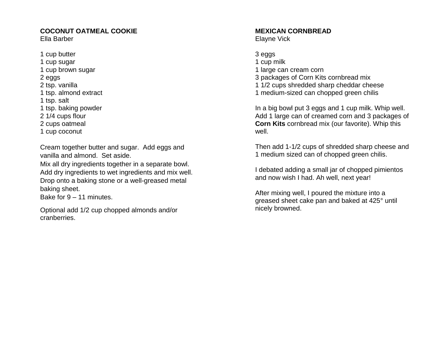#### **COCONUT OATMEAL COOKIE** Ella Barber

1 cup butter 1 cup sugar 1 cup brown sugar 2 eggs 2 tsp. vanilla 1 tsp. almond extract 1 tsp. salt 1 tsp. baking powder 2 1/4 cups flour 2 cups oatmeal 1 cup coconut

Cream together butter and sugar. Add eggs and vanilla and almond. Set aside.

Mix all dry ingredients together in a separate bowl. Add dry ingredients to wet ingredients and mix well. Drop onto a baking stone or a well-greased metal baking sheet.

Bake for 9 – 11 minutes.

Optional add 1/2 cup chopped almonds and/or cranberries.

#### **MEXICAN CORNBREAD** Elayne Vick

3 eggs

- 1 cup milk 1 large can cream corn
- 3 packages of Corn Kits cornbread mix
- 1 1/2 cups shredded sharp cheddar cheese
- 1 medium-sized can chopped green chilis

In a big bowl put 3 eggs and 1 cup milk. Whip well. Add 1 large can of creamed corn and 3 packages of **Corn Kits** cornbread mix (our favorite). Whip this well.

Then add 1-1/2 cups of shredded sharp cheese and 1 medium sized can of chopped green chilis.

I debated adding a small jar of chopped pimientos and now wish I had. Ah well, next year!

After mixing well, I poured the mixture into a greased sheet cake pan and baked at 425° until nicely browned.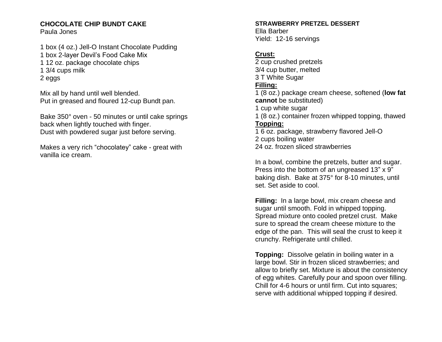## **CHOCOLATE CHIP BUNDT CAKE**

Paula Jones

1 box (4 oz.) Jell-O Instant Chocolate Pudding 1 box 2-layer Devil's Food Cake Mix 1 12 oz. package chocolate chips 1 3/4 cups milk 2 eggs

Mix all by hand until well blended. Put in greased and floured 12-cup Bundt pan.

Bake 350° oven - 50 minutes or until cake springs back when lightly touched with finger. Dust with powdered sugar just before serving.

Makes a very rich "chocolatey" cake - great with vanilla ice cream.

#### **STRAWBERRY PRETZEL DESSERT**

Ella Barber Yield: 12-16 servings

## **Crust:**

2 cup crushed pretzels 3/4 cup butter, melted 3 T White Sugar **Filling:** 1 (8 oz.) package cream cheese, softened (**low fat cannot** be substituted) 1 cup white sugar 1 (8 oz.) container frozen whipped topping, thawed **Topping:** 1 6 oz. package, strawberry flavored Jell-O 2 cups boiling water 24 oz. frozen sliced strawberries

In a bowl, combine the pretzels, butter and sugar. Press into the bottom of an ungreased 13" x 9" baking dish. Bake at 375° for 8-10 minutes, until set. Set aside to cool.

**Filling:** In a large bowl, mix cream cheese and sugar until smooth. Fold in whipped topping. Spread mixture onto cooled pretzel crust. Make sure to spread the cream cheese mixture to the edge of the pan. This will seal the crust to keep it crunchy. Refrigerate until chilled.

**Topping:** Dissolve gelatin in boiling water in a large bowl. Stir in frozen sliced strawberries; and allow to briefly set. Mixture is about the consistency of egg whites. Carefully pour and spoon over filling. Chill for 4-6 hours or until firm. Cut into squares; serve with additional whipped topping if desired.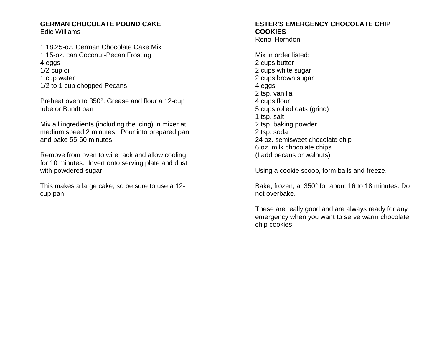## **GERMAN CHOCOLATE POUND CAKE**

Edie Williams

1 18.25-oz. German Chocolate Cake Mix 1 15-oz. can Coconut-Pecan Frosting 4 eggs 1/2 cup oil 1 cup water 1/2 to 1 cup chopped Pecans

Preheat oven to 350°. Grease and flour a 12-cup tube or Bundt pan

Mix all ingredients (including the icing) in mixer at medium speed 2 minutes. Pour into prepared pan and bake 55-60 minutes.

Remove from oven to wire rack and allow cooling for 10 minutes. Invert onto serving plate and dust with powdered sugar.

This makes a large cake, so be sure to use a 12 cup pan.

## **ESTER'S EMERGENCY CHOCOLATE CHIP COOKIES**

Rene' Herndon

Mix in order listed: 2 cups butter 2 cups white sugar 2 cups brown sugar 4 eggs 2 tsp. vanilla 4 cups flour 5 cups rolled oats (grind) 1 tsp. salt 2 tsp. baking powder 2 tsp. soda 24 oz. semisweet chocolate chip 6 oz. milk chocolate chips (I add pecans or walnuts)

Using a cookie scoop, form balls and freeze.

Bake, frozen, at 350° for about 16 to 18 minutes. Do not overbake.

These are really good and are always ready for any emergency when you want to serve warm chocolate chip cookies.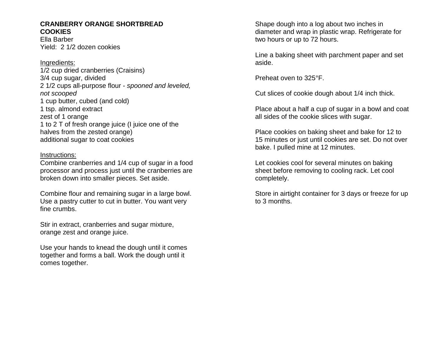#### **CRANBERRY ORANGE SHORTBREAD COOKIES**

Ella Barber Yield: 2 1/2 dozen cookies

Ingredients: 1/2 cup dried cranberries (Craisins) 3/4 cup sugar, divided 2 1/2 cups all-purpose flour - *spooned and leveled, not scooped* 1 cup butter, cubed (and cold) 1 tsp. [almond extract](https://www.amazon.com/gp/search/ref=as_li_qf_sp_sr_il_tl?ie=UTF8&tag=moonti09-20&keywords=almond%20extract&index=aps&camp=1789&creative=9325&linkCode=xm2&linkId=2df73d9d3aaab94ac4c4c79d847b800b) zest of 1 orange 1 to 2 T of fresh orange juice (I juice one of the halves from the zested orange) additional sugar to coat cookies

#### Instructions:

Combine cranberries and 1/4 cup of sugar in a food processor and process just until the cranberries are broken down into smaller pieces. Set aside.

Combine flour and remaining sugar in a large bowl. Use a [pastry cutter](https://www.amazon.com/gp/search/ref=as_li_qf_sp_sr_il_tl?ie=UTF8&tag=moonti09-20&keywords=pastry%20cutter&index=aps&camp=1789&creative=9325&linkCode=xm2&linkId=2e983c1314f0042916a6e406b7ff3d4f) to cut in butter. You want very fine crumbs.

Stir in extract, cranberries and sugar mixture, orange zest and orange juice.

Use your hands to knead the dough until it comes together and forms a ball. Work the dough until it comes together.

Shape dough into a log about two inches in diameter and wrap in plastic wrap. Refrigerate for two hours or up to 72 hours.

Line a baking sheet with parchment paper and set aside.

Preheat oven to 325°F.

Cut slices of cookie dough about 1/4 inch thick.

Place about a half a cup of sugar in a bowl and coat all sides of the cookie slices with sugar.

Place cookies on baking sheet and bake for 12 to 15 minutes or just until cookies are set. Do not over bake. I pulled mine at 12 minutes.

Let cookies cool for several minutes on baking sheet before removing to cooling rack. Let cool completely.

Store in airtight container for 3 days or freeze for up to 3 months.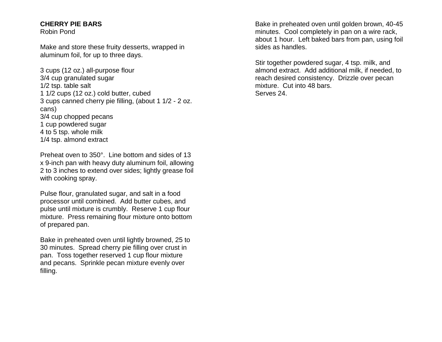#### **CHERRY PIE BARS**

Robin Pond

Make and store these fruity desserts, wrapped in aluminum foil, for up to three days.

3 cups (12 oz.) all-purpose flour 3/4 cup granulated sugar 1/2 tsp. table salt 1 1/2 cups (12 oz.) cold butter, cubed 3 cups canned cherry pie filling, (about 1 1/2 - 2 oz. cans) 3/4 cup chopped pecans 1 cup powdered sugar 4 to 5 tsp. whole milk 1/4 tsp. almond extract

Preheat oven to 350°. Line bottom and sides of 13 x 9-inch pan with heavy duty aluminum foil, allowing 2 to 3 inches to extend over sides; lightly grease foil with cooking spray.

Pulse flour, granulated sugar, and salt in a food processor until combined. Add butter cubes, and pulse until mixture is crumbly. Reserve 1 cup flour mixture. Press remaining flour mixture onto bottom of prepared pan.

Bake in preheated oven until lightly browned, 25 to 30 minutes. Spread cherry pie filling over crust in pan. Toss together reserved 1 cup flour mixture and pecans. Sprinkle pecan mixture evenly over filling.

Bake in preheated oven until golden brown, 40-45 minutes. Cool completely in pan on a wire rack, about 1 hour. Left baked bars from pan, using foil sides as handles.

Stir together powdered sugar, 4 tsp. milk, and almond extract. Add additional milk, if needed, to reach desired consistency. Drizzle over pecan mixture. Cut into 48 bars. Serves 24.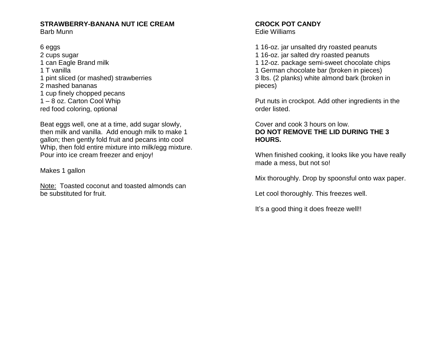# **STRAWBERRY-BANANA NUT ICE CREAM**

Barb Munn

6 eggs 2 cups sugar 1 can Eagle Brand milk 1 T vanilla 1 pint sliced (or mashed) strawberries 2 mashed bananas 1 cup finely chopped pecans 1 – 8 oz. Carton Cool Whip red food coloring, optional

Beat eggs well, one at a time, add sugar slowly, then milk and vanilla. Add enough milk to make 1 gallon; then gently fold fruit and pecans into cool Whip, then fold entire mixture into milk/egg mixture. Pour into ice cream freezer and enjoy!

Makes 1 gallon

Note: Toasted coconut and toasted almonds can be substituted for fruit.

#### **CROCK POT CANDY** Edie Williams

1 16-oz. jar unsalted dry roasted peanuts 1 16-oz. jar salted dry roasted peanuts 1 12-oz. package semi-sweet chocolate chips 1 German chocolate bar (broken in pieces) 3 lbs. (2 planks) white almond bark (broken in pieces)

Put nuts in crockpot. Add other ingredients in the order listed.

## Cover and cook 3 hours on low. **DO NOT REMOVE THE LID DURING THE 3 HOURS.**

When finished cooking, it looks like you have really made a mess, but not so!

Mix thoroughly. Drop by spoonsful onto wax paper.

Let cool thoroughly. This freezes well.

It's a good thing it does freeze well!!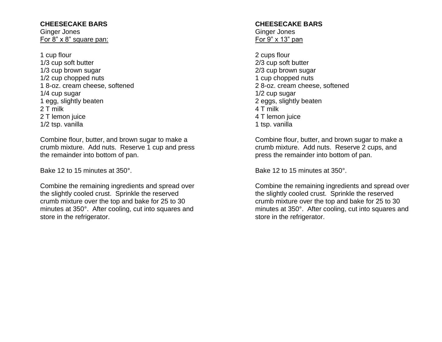## **CHEESECAKE BARS**

Ginger Jones For 8" x 8" square pan:

1 cup flour 1/3 cup soft butter 1/3 cup brown sugar 1/2 cup chopped nuts 1 8-oz. cream cheese, softened 1/4 cup sugar 1 egg, slightly beaten 2 T milk 2 T lemon juice 1/2 tsp. vanilla

Combine flour, butter, and brown sugar to make a crumb mixture. Add nuts. Reserve 1 cup and press the remainder into bottom of pan.

Bake 12 to 15 minutes at 350°.

Combine the remaining ingredients and spread over the slightly cooled crust. Sprinkle the reserved crumb mixture over the top and bake for 25 to 30 minutes at 350°. After cooling, cut into squares and store in the refrigerator.

#### **CHEESECAKE BARS** Ginger Jones For 9" x 13" pan

2 cups flour 2/3 cup soft butter 2/3 cup brown sugar 1 cup chopped nuts 2 8-oz. cream cheese, softened 1/2 cup sugar 2 eggs, slightly beaten 4 T milk 4 T lemon juice 1 tsp. vanilla

Combine flour, butter, and brown sugar to make a crumb mixture. Add nuts. Reserve 2 cups, and press the remainder into bottom of pan.

Bake 12 to 15 minutes at 350°.

Combine the remaining ingredients and spread over the slightly cooled crust. Sprinkle the reserved crumb mixture over the top and bake for 25 to 30 minutes at 350°. After cooling, cut into squares and store in the refrigerator.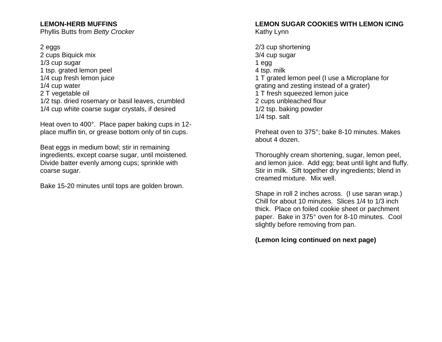## **LEMON-HERB MUFFINS**

Phyllis Butts from *Betty Crocker*

#### 2 eggs

2 cups Biquick mix 1/3 cup sugar 1 tsp. grated lemon peel 1/4 cup fresh lemon juice 1/4 cup water 2 T vegetable oil 1/2 tsp. dried rosemary or basil leaves, crumbled 1/4 cup white coarse sugar crystals, if desired

Heat oven to 400°. Place paper baking cups in 12 place muffin tin, or grease bottom only of tin cups.

Beat eggs in medium bowl; stir in remaining ingredients, except coarse sugar, until moistened. Divide batter evenly among cups; sprinkle with coarse sugar.

Bake 15-20 minutes until tops are golden brown.

#### **LEMON SUGAR COOKIES WITH LEMON ICING** Kathy Lynn

2/3 cup shortening 3/4 cup sugar 1 egg 4 tsp. milk 1 T grated lemon peel (I use a Microplane for grating and zesting instead of a grater) 1 T fresh squeezed lemon juice 2 cups unbleached flour 1/2 tsp. baking powder 1/4 tsp. salt

Preheat oven to 375°; bake 8-10 minutes. Makes about 4 dozen.

Thoroughly cream shortening, sugar, lemon peel, and lemon juice. Add egg; beat until light and fluffy. Stir in milk. Sift together dry ingredients; blend in creamed mixture. Mix well.

Shape in roll 2 inches across. (I use saran wrap.) Chill for about 10 minutes. Slices 1/4 to 1/3 inch thick. Place on foiled cookie sheet or parchment paper. Bake in 375° oven for 8-10 minutes. Cool slightly before removing from pan.

**(Lemon Icing continued on next page)**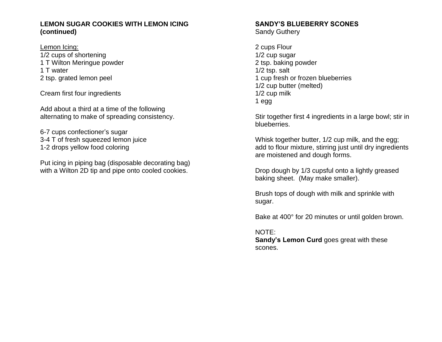#### **LEMON SUGAR COOKIES WITH LEMON ICING (continued)**

Lemon Icing:

1/2 cups of shortening 1 T Wilton Meringue powder 1 T water 2 tsp. grated lemon peel

Cream first four ingredients

Add about a third at a time of the following alternating to make of spreading consistency.

6-7 cups confectioner's sugar 3-4 T of fresh squeezed lemon juice 1-2 drops yellow food coloring

Put icing in piping bag (disposable decorating bag) with a Wilton 2D tip and pipe onto cooled cookies.

## **SANDY'S BLUEBERRY SCONES**

Sandy Guthery

2 cups Flour 1/2 cup sugar 2 tsp. baking powder 1/2 tsp. salt 1 cup fresh or frozen blueberries 1/2 cup butter (melted) 1/2 cup milk 1 egg

Stir together first 4 ingredients in a large bowl; stir in blueberries.

Whisk together butter, 1/2 cup milk, and the egg; add to flour mixture, stirring just until dry ingredients are moistened and dough forms.

Drop dough by 1/3 cupsful onto a lightly greased baking sheet. (May make smaller).

Brush tops of dough with milk and sprinkle with sugar.

Bake at 400° for 20 minutes or until golden brown.

NOTE:

**Sandy's Lemon Curd** goes great with these scones.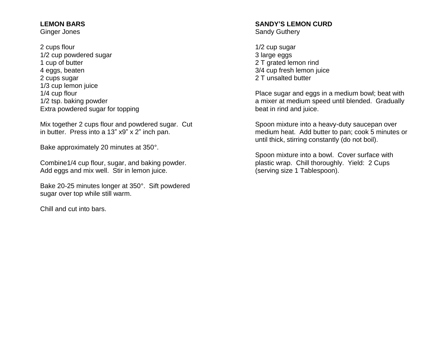## **LEMON BARS**

Ginger Jones

2 cups flour 1/2 cup powdered sugar 1 cup of butter 4 eggs, beaten 2 cups sugar 1/3 cup lemon juice 1/4 cup flour 1/2 tsp. baking powder Extra powdered sugar for topping

Mix together 2 cups flour and powdered sugar. Cut in butter. Press into a 13" x9" x 2" inch pan.

Bake approximately 20 minutes at 350°.

Combine1/4 cup flour, sugar, and baking powder. Add eggs and mix well. Stir in lemon juice.

Bake 20-25 minutes longer at 350°. Sift powdered sugar over top while still warm.

Chill and cut into bars.

#### **SANDY'S LEMON CURD** Sandy Guthery

1/2 cup sugar 3 large eggs 2 T grated lemon rind 3/4 cup fresh lemon juice 2 T unsalted butter

Place sugar and eggs in a medium bowl; beat with a mixer at medium speed until blended. Gradually beat in rind and juice.

Spoon mixture into a heavy-duty saucepan over medium heat. Add butter to pan; cook 5 minutes or until thick, stirring constantly (do not boil).

Spoon mixture into a bowl. Cover surface with plastic wrap. Chill thoroughly. Yield: 2 Cups (serving size 1 Tablespoon).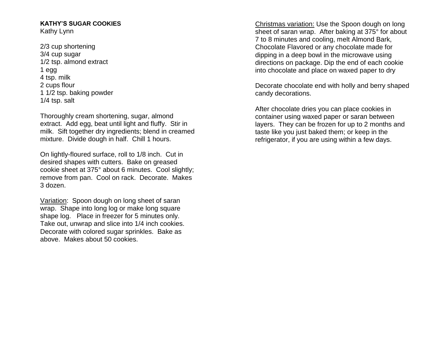#### **KATHY'S SUGAR COOKIES** Kathy Lynn

2/3 cup shortening 3/4 cup sugar 1/2 tsp. almond extract 1 egg 4 tsp. milk 2 cups flour 1 1/2 tsp. baking powder 1/4 tsp. salt

Thoroughly cream shortening, sugar, almond extract. Add egg, beat until light and fluffy. Stir in milk. Sift together dry ingredients; blend in creamed mixture. Divide dough in half. Chill 1 hours.

On lightly-floured surface, roll to 1/8 inch. Cut in desired shapes with cutters. Bake on greased cookie sheet at 375° about 6 minutes. Cool slightly; remove from pan. Cool on rack. Decorate. Makes 3 dozen.

Variation: Spoon dough on long sheet of saran wrap. Shape into long log or make long square shape log. Place in freezer for 5 minutes only. Take out, unwrap and slice into 1/4 inch cookies. Decorate with colored sugar sprinkles. Bake as above. Makes about 50 cookies.

Christmas variation: Use the Spoon dough on long sheet of saran wrap. After baking at 375° for about 7 to 8 minutes and cooling, melt Almond Bark, Chocolate Flavored or any chocolate made for dipping in a deep bowl in the microwave using directions on package. Dip the end of each cookie into chocolate and place on waxed paper to dry

Decorate chocolate end with holly and berry shaped candy decorations.

After chocolate dries you can place cookies in container using waxed paper or saran between layers. They can be frozen for up to 2 months and taste like you just baked them; or keep in the refrigerator, if you are using within a few days.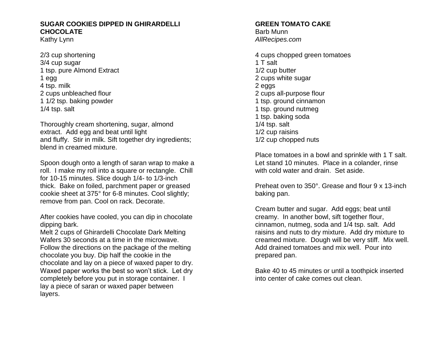### **SUGAR COOKIES DIPPED IN GHIRARDELLI CHOCOLATE**

Kathy Lynn

2/3 cup shortening 3/4 cup sugar 1 tsp. pure Almond Extract 1 egg 4 tsp. milk 2 cups unbleached flour 1 1/2 tsp. baking powder 1/4 tsp. salt

Thoroughly cream shortening, sugar, almond extract. Add egg and beat until light and fluffy. Stir in milk. Sift together dry ingredients; blend in creamed mixture.

Spoon dough onto a length of saran wrap to make a roll. I make my roll into a square or rectangle. Chill for 10-15 minutes. Slice dough 1/4- to 1/3-inch thick. Bake on foiled, parchment paper or greased cookie sheet at 375° for 6-8 minutes. Cool slightly; remove from pan. Cool on rack. Decorate.

After cookies have cooled, you can dip in chocolate dipping bark.

Melt 2 cups of Ghirardelli Chocolate Dark Melting Wafers 30 seconds at a time in the microwave. Follow the directions on the package of the melting chocolate you buy. Dip half the cookie in the chocolate and lay on a piece of waxed paper to dry. Waxed paper works the best so won't stick. Let dry completely before you put in storage container. I lay a piece of saran or waxed paper between layers.

## **GREEN TOMATO CAKE**

Barb Munn *AllRecipes.com*

4 cups chopped green tomatoes 1 T salt 1/2 cup butter 2 cups white sugar 2 eggs 2 cups all-purpose flour 1 tsp. ground cinnamon 1 tsp. ground nutmeg 1 tsp. baking soda 1/4 tsp. salt 1/2 cup raisins 1/2 cup chopped nuts

Place tomatoes in a bowl and sprinkle with 1 T salt. Let stand 10 minutes. Place in a colander, rinse with cold water and drain. Set aside.

Preheat oven to 350°. Grease and flour 9 x 13-inch baking pan.

Cream butter and sugar. Add eggs; beat until creamy. In another bowl, sift together flour, cinnamon, nutmeg, soda and 1/4 tsp. salt. Add raisins and nuts to dry mixture. Add dry mixture to creamed mixture. Dough will be very stiff. Mix well. Add drained tomatoes and mix well. Pour into prepared pan.

Bake 40 to 45 minutes or until a toothpick inserted into center of cake comes out clean.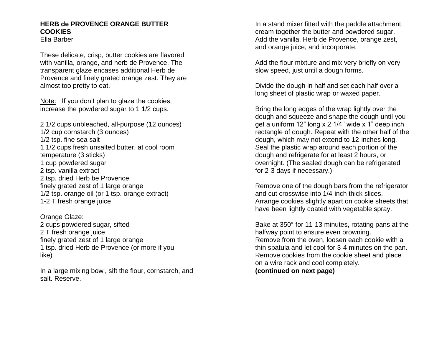## **HERB de PROVENCE ORANGE BUTTER COOKIES**

Ella Barber

These delicate, crisp, butter cookies are flavored with vanilla, orange, and herb de Provence. The transparent glaze encases additional Herb de Provence and finely grated orange zest. They are almost too pretty to eat.

Note: If you don't plan to glaze the cookies, increase the powdered sugar to 1 1/2 cups.

2 1/2 cups unbleached, all-purpose (12 ounces) 1/2 cup cornstarch (3 ounces) 1/2 tsp. fine sea salt 1 1/2 cups fresh unsalted butter, at cool room temperature (3 sticks) 1 cup powdered sugar 2 tsp. vanilla extract 2 tsp. dried Herb be Provence finely grated zest of 1 large orange 1/2 tsp. orange oil (or 1 tsp. orange extract) 1-2 T fresh orange juice

Orange Glaze: 2 cups powdered sugar, sifted 2 T fresh orange juice finely grated zest of 1 large orange 1 tsp. dried Herb de Provence (or more if you like)

In a large mixing bowl, sift the flour, cornstarch, and salt. Reserve.

In a stand mixer fitted with the paddle attachment, cream together the butter and powdered sugar. Add the vanilla, Herb de Provence, orange zest, and orange juice, and incorporate.

Add the flour mixture and mix very briefly on very slow speed, just until a dough forms.

Divide the dough in half and set each half over a long sheet of plastic wrap or waxed paper.

Bring the long edges of the wrap lightly over the dough and squeeze and shape the dough until you get a uniform 12" long x 2 1/4" wide x 1" deep inch rectangle of dough. Repeat with the other half of the dough, which may not extend to 12-inches long. Seal the plastic wrap around each portion of the dough and refrigerate for at least 2 hours, or overnight. (The sealed dough can be refrigerated for 2-3 days if necessary.)

Remove one of the dough bars from the refrigerator and cut crosswise into 1/4-inch thick slices. Arrange cookies slightly apart on cookie sheets that have been lightly coated with vegetable spray.

Bake at 350° for 11-13 minutes, rotating pans at the halfway point to ensure even browning. Remove from the oven, loosen each cookie with a thin spatula and let cool for 3-4 minutes on the pan. Remove cookies from the cookie sheet and place on a wire rack and cool completely. **(continued on next page)**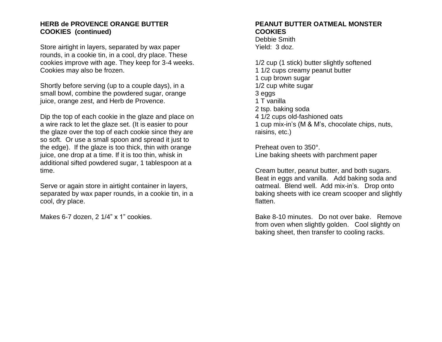#### **HERB de PROVENCE ORANGE BUTTER COOKIES (continued)**

Store airtight in layers, separated by wax paper rounds, in a cookie tin, in a cool, dry place. These cookies improve with age. They keep for 3-4 weeks. Cookies may also be frozen.

Shortly before serving (up to a couple days), in a small bowl, combine the powdered sugar, orange juice, orange zest, and Herb de Provence.

Dip the top of each cookie in the glaze and place on a wire rack to let the glaze set. (It is easier to pour the glaze over the top of each cookie since they are so soft. Or use a small spoon and spread it just to the edge). If the glaze is too thick, thin with orange juice, one drop at a time. If it is too thin, whisk in additional sifted powdered sugar, 1 tablespoon at a time.

Serve or again store in airtight container in layers, separated by wax paper rounds, in a cookie tin, in a cool, dry place.

Makes 6-7 dozen, 2 1/4" x 1" cookies.

## **PEANUT BUTTER OATMEAL MONSTER COOKIES**

Debbie Smith Yield: 3 doz.

1/2 cup (1 stick) butter slightly softened 1 1/2 cups creamy peanut butter 1 cup brown sugar 1/2 cup white sugar 3 eggs 1 T vanilla 2 tsp. baking soda 4 1/2 cups old-fashioned oats 1 cup mix-in's (M & M's, chocolate chips, nuts, raisins, etc.)

Preheat oven to 350°. Line baking sheets with parchment paper

Cream butter, peanut butter, and both sugars. Beat in eggs and vanilla. Add baking soda and oatmeal. Blend well. Add mix-in's. Drop onto baking sheets with ice cream scooper and slightly flatten.

Bake 8-10 minutes. Do not over bake. Remove from oven when slightly golden. Cool slightly on baking sheet, then transfer to cooling racks.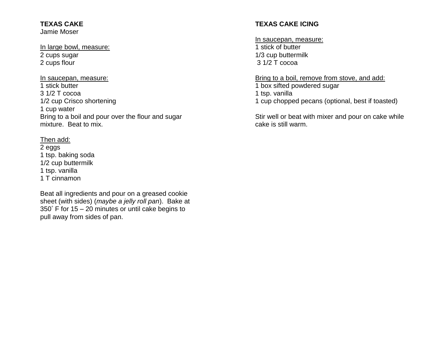#### **TEXAS CAKE** Jamie Moser

#### In large bowl, measure: 2 cups sugar 2 cups flour

In saucepan, measure: 1 stick butter 3 1/2 T cocoa 1/2 cup Crisco shortening 1 cup water Bring to a boil and pour over the flour and sugar mixture. Beat to mix.

Then add: 2 eggs 1 tsp. baking soda 1/2 cup buttermilk 1 tsp. vanilla 1 T cinnamon

Beat all ingredients and pour on a greased cookie sheet (with sides) (*maybe a jelly roll pan*). Bake at 350° F for 15 – 20 minutes or until cake begins to pull away from sides of pan.

## **TEXAS CAKE ICING**

In saucepan, measure: 1 stick of butter 1/3 cup buttermilk 3 1/2 T cocoa

Bring to a boil, remove from stove, and add: 1 box sifted powdered sugar 1 tsp. vanilla 1 cup chopped pecans (optional, best if toasted)

Stir well or beat with mixer and pour on cake while cake is still warm.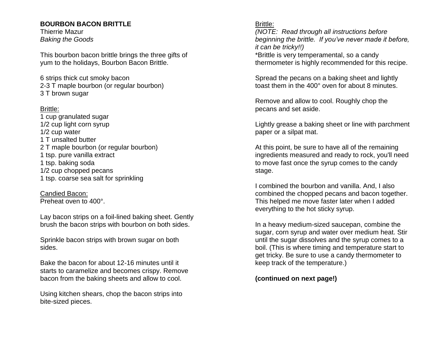### **BOURBON BACON BRITTLE**

Thierrie Mazur *Baking the Goods*

This bourbon bacon brittle brings the three gifts of yum to the holidays, Bourbon Bacon Brittle.

6 strips thick cut smoky bacon 2-3 T maple bourbon (or regular bourbon) 3 T brown sugar

## Brittle:

1 cup granulated sugar 1/2 cup light corn syrup 1/2 cup water 1 T unsalted butter 2 T maple bourbon (or regular bourbon) 1 tsp. pure vanilla extract 1 tsp. baking soda 1/2 cup chopped pecans 1 tsp. coarse sea salt for sprinkling

Candied Bacon: Preheat oven to 400°.

Lay bacon strips on a foil-lined baking sheet. Gently brush the bacon strips with bourbon on both sides.

Sprinkle bacon strips with brown sugar on both sides.

Bake the bacon for about 12-16 minutes until it starts to caramelize and becomes crispy. Remove bacon from the baking sheets and allow to cool.

Using kitchen shears, chop the bacon strips into bite-sized pieces.

## Brittle:

*(NOTE: Read through all instructions before beginning the brittle. If you've never made it before, it can be tricky!!)*

\*Brittle is very temperamental, so a candy thermometer is highly recommended for this recipe.

Spread the pecans on a baking sheet and lightly toast them in the 400° oven for about 8 minutes.

Remove and allow to cool. Roughly chop the pecans and set aside.

Lightly grease a baking sheet or line with parchment paper or a silpat mat.

At this point, be sure to have all of the remaining ingredients measured and ready to rock, you'll need to move fast once the syrup comes to the candy stage.

I combined the bourbon and vanilla. And, I also combined the chopped pecans and bacon together. This helped me move faster later when I added everything to the hot sticky syrup.

In a heavy medium-sized saucepan, combine the sugar, corn syrup and water over medium heat. Stir until the sugar dissolves and the syrup comes to a boil. (This is where timing and temperature start to get tricky. Be sure to use a candy thermometer to keep track of the temperature.)

**(continued on next page!)**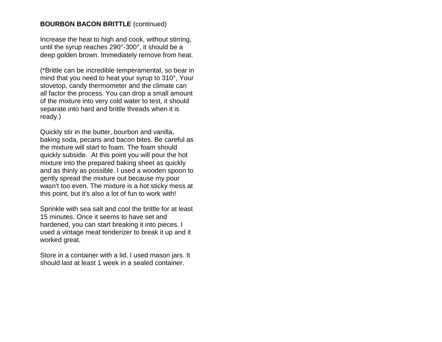## **BOURBON BACON BRITTLE** (continued)

Increase the heat to high and cook, without stirring, until the syrup reaches 290°-300°, it should be a deep golden brown. Immediately remove from heat.

(\*Brittle can be incredible temperamental, so bear in mind that you need to heat your syrup to 310°, Your stovetop, candy thermometer and the climate can all factor the process. You can drop a small amount of the mixture into very cold water to test, it should separate into hard and brittle threads when it is ready.)

Quickly stir in the butter, bourbon and vanilla, baking soda, pecans and bacon bites. Be careful as the mixture will start to foam. The foam should quickly subside. At this point you will pour the hot mixture into the prepared baking sheet as quickly and as thinly as possible. I used a wooden spoon to gently spread the mixture out because my pour wasn't too even. The mixture is a hot sticky mess at this point, but it's also a lot of fun to work with!

Sprinkle with sea salt and cool the brittle for at least 15 minutes. Once it seems to have set and hardened, you can start breaking it into pieces. I used a vintage meat tenderizer to break it up and it worked great.

Store in a container with a lid, I used mason jars. It should last at least 1 week in a sealed container.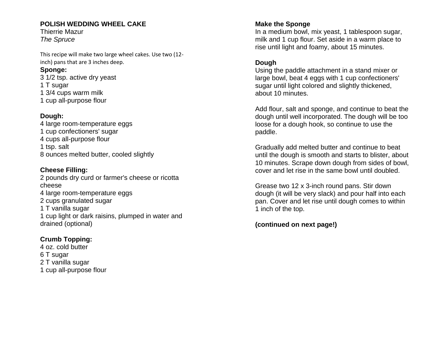## **POLISH WEDDING WHEEL CAKE**

Thierrie Mazur *The Spruce*

This recipe will make two large wheel cakes. Use two (12 inch) pans that are 3 inches deep.

## **Sponge:**

3 1/2 tsp. active dry yeast 1 T sugar 1 3/4 cups warm milk 1 cup all-purpose flour

## **Dough:**

4 large room-temperature eggs 1 cup confectioners' sugar 4 cups all-purpose flour 1 tsp. salt 8 ounces melted butter, cooled slightly

## **Cheese Filling:** 2 pounds [dry curd or farmer's cheese](https://www.thespruce.com/make-dry-curd-or-farmers-cheese-1135795) or ricotta cheese 4 large room-temperature eggs 2 cups granulated sugar 1 T vanilla sugar 1 cup light or dark raisins, plumped in water and drained (optional)

## **Crumb Topping:**

4 oz. cold butter 6 T sugar 2 T vanilla sugar 1 cup all-purpose flour

## **Make the Sponge**

In a medium bowl, mix yeast, 1 tablespoon sugar, milk and 1 cup flour. Set aside in a warm place to rise until light and foamy, about 15 minutes.

## **Dough**

Using the paddle attachment in a stand mixer or large bowl, beat 4 eggs with 1 cup confectioners' sugar until light colored and slightly thickened, about 10 minutes.

Add flour, salt and sponge, and continue to beat the dough until well incorporated. The dough will be too loose for a dough hook, so continue to use the paddle.

Gradually add melted butter and continue to beat until the dough is smooth and starts to blister, about 10 minutes. Scrape down dough from sides of bowl, cover and let rise in the same bowl until doubled.

Grease two 12 x 3-inch round pans. Stir down dough (it will be very slack) and pour half into each pan. Cover and let rise until dough comes to within 1 inch of the top.

## **(continued on next page!)**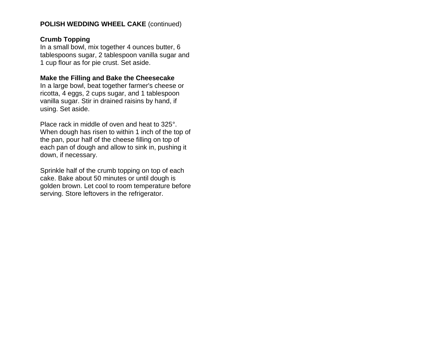### **POLISH WEDDING WHEEL CAKE** (continued)

#### **Crumb Topping**

In a small bowl, mix together 4 ounces butter, 6 tablespoons sugar, 2 tablespoon vanilla sugar and 1 cup flour as for pie crust. Set aside.

#### **Make the Filling and Bake the Cheesecake**

In a large bowl, beat together farmer's cheese or ricotta, 4 eggs, 2 cups sugar, and 1 tablespoon vanilla sugar. Stir in drained raisins by hand, if using. Set aside.

Place rack in middle of oven and heat to 325°. When dough has risen to within 1 inch of the top of the pan, pour half of the cheese filling on top of each pan of dough and allow to sink in, pushing it down, if necessary.

Sprinkle half of the crumb topping on top of each cake. Bake about 50 minutes or until dough is golden brown. Let cool to room temperature before serving. Store leftovers in the refrigerator.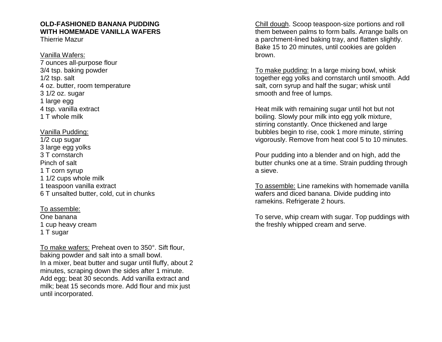## **OLD-FASHIONED BANANA PUDDING WITH HOMEMADE VANILLA WAFERS**

Thierrie Mazur

Vanilla Wafers: 7 ounces all-purpose flour 3/4 tsp. baking powder 1/2 tsp. salt 4 oz. butter, room temperature 3 1/2 oz. sugar 1 large egg 4 tsp. vanilla extract 1 T whole milk

#### Vanilla Pudding:

1/2 cup sugar 3 large egg yolks 3 T cornstarch Pinch of salt 1 T corn syrup 1 1/2 cups whole milk 1 teaspoon vanilla extract 6 T unsalted butter, cold, cut in chunks

To assemble: One banana 1 cup heavy cream 1 T sugar

To make wafers: Preheat oven to 350°. Sift flour, baking powder and salt into a small bowl. In a mixer, beat butter and sugar until fluffy, about 2 minutes, scraping down the sides after 1 minute. Add egg; beat 30 seconds. Add vanilla extract and milk; beat 15 seconds more. Add flour and mix just until incorporated.

Chill dough. Scoop teaspoon-size portions and roll them between palms to form balls. Arrange balls on a parchment-lined baking tray, and flatten slightly. Bake 15 to 20 minutes, until cookies are golden brown.

To make pudding: In a large mixing bowl, whisk together egg yolks and cornstarch until smooth. Add salt, corn syrup and half the sugar; whisk until smooth and free of lumps.

Heat milk with remaining sugar until hot but not boiling. Slowly pour milk into egg yolk mixture, stirring constantly. Once thickened and large bubbles begin to rise, cook 1 more minute, stirring vigorously. Remove from heat cool 5 to 10 minutes.

Pour pudding into a blender and on high, add the butter chunks one at a time. Strain pudding through a sieve.

To assemble: Line ramekins with homemade vanilla wafers and diced banana. Divide pudding into ramekins. Refrigerate 2 hours.

To serve, whip cream with sugar. Top puddings with the freshly whipped cream and serve.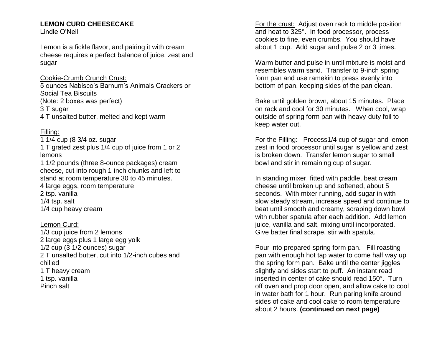## **LEMON CURD CHEESECAKE**

Lindle O'Neil

Lemon is a fickle flavor, and pairing it with cream cheese requires a perfect balance of juice, zest and sugar

#### Cookie-Crumb Crunch Crust:

5 ounces Nabisco's Barnum's Animals Crackers or Social Tea Biscuits (Note: 2 boxes was perfect) 3 T sugar 4 T unsalted butter, melted and kept warm

## Filling:

1 1/4 cup (8 3/4 oz. sugar 1 T grated zest plus 1/4 cup of juice from 1 or 2 lemons 1 1/2 pounds (three 8-ounce packages) cream cheese, cut into rough 1-inch chunks and left to stand at room temperature 30 to 45 minutes. 4 large eggs, room temperature 2 tsp. vanilla 1/4 tsp. salt 1/4 cup heavy cream

Lemon Curd: 1/3 cup juice from 2 lemons 2 large eggs plus 1 large egg yolk 1/2 cup (3 1/2 ounces) sugar 2 T unsalted butter, cut into 1/2-inch cubes and chilled 1 T heavy cream 1 tsp. vanilla Pinch salt

For the crust: Adjust oven rack to middle position and heat to 325°. In food processor, process cookies to fine, even crumbs. You should have about 1 cup. Add sugar and pulse 2 or 3 times.

Warm butter and pulse in until mixture is moist and resembles warm sand. Transfer to 9-inch spring form pan and use ramekin to press evenly into bottom of pan, keeping sides of the pan clean.

Bake until golden brown, about 15 minutes. Place on rack and cool for 30 minutes. When cool, wrap outside of spring form pan with heavy-duty foil to keep water out.

For the Filling: Process1/4 cup of sugar and lemon zest in food processor until sugar is yellow and zest is broken down. Transfer lemon sugar to small bowl and stir in remaining cup of sugar.

In standing mixer, fitted with paddle, beat cream cheese until broken up and softened, about 5 seconds. With mixer running, add sugar in with slow steady stream, increase speed and continue to beat until smooth and creamy, scraping down bowl with rubber spatula after each addition. Add lemon juice, vanilla and salt, mixing until incorporated. Give batter final scrape, stir with spatula.

Pour into prepared spring form pan. Fill roasting pan with enough hot tap water to come half way up the spring form pan. Bake until the center jiggles slightly and sides start to puff. An instant read inserted in center of cake should read 150°. Turn off oven and prop door open, and allow cake to cool in water bath for 1 hour. Run paring knife around sides of cake and cool cake to room temperature about 2 hours. **(continued on next page)**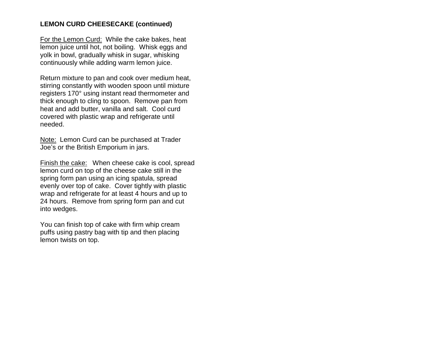## **LEMON CURD CHEESECAKE (continued)**

For the Lemon Curd: While the cake bakes, heat lemon juice until hot, not boiling. Whisk eggs and yolk in bowl, gradually whisk in sugar, whisking continuously while adding warm lemon juice.

Return mixture to pan and cook over medium heat, stirring constantly with wooden spoon until mixture registers 170° using instant read thermometer and thick enough to cling to spoon. Remove pan from heat and add butter, vanilla and salt. Cool curd covered with plastic wrap and refrigerate until needed.

Note: Lemon Curd can be purchased at Trader Joe's or the British Emporium in jars.

Finish the cake:When cheese cake is cool, spread lemon curd on top of the cheese cake still in the spring form pan using an icing spatula, spread evenly over top of cake. Cover tightly with plastic wrap and refrigerate for at least 4 hours and up to 24 hours. Remove from spring form pan and cut into wedges.

You can finish top of cake with firm whip cream puffs using pastry bag with tip and then placing lemon twists on top.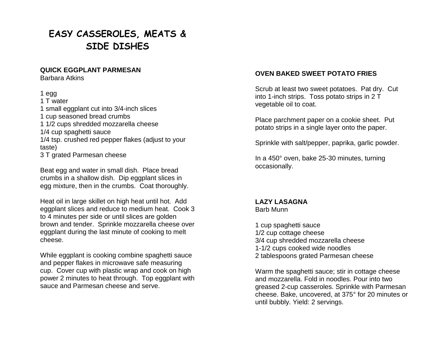# **EASY CASSEROLES, MEATS & SIDE DISHES**

#### **QUICK EGGPLANT PARMESAN**

Barbara Atkins

#### 1 egg

1 T water 1 small eggplant cut into 3/4-inch slices 1 cup seasoned bread crumbs 1 1/2 cups shredded mozzarella cheese 1/4 cup spaghetti sauce 1/4 tsp. crushed red pepper flakes (adjust to your taste) 3 T grated Parmesan cheese

Beat egg and water in small dish. Place bread crumbs in a shallow dish. Dip eggplant slices in egg mixture, then in the crumbs. Coat thoroughly.

Heat oil in large skillet on high heat until hot. Add eggplant slices and reduce to medium heat. Cook 3 to 4 minutes per side or until slices are golden brown and tender. Sprinkle mozzarella cheese over eggplant during the last minute of cooking to melt cheese.

While eggplant is cooking combine spaghetti sauce and pepper flakes in microwave safe measuring cup. Cover cup with plastic wrap and cook on high power 2 minutes to heat through. Top eggplant with sauce and Parmesan cheese and serve.

## **OVEN BAKED SWEET POTATO FRIES**

Scrub at least two sweet potatoes. Pat dry. Cut into 1-inch strips. Toss potato strips in 2 T vegetable oil to coat.

Place parchment paper on a cookie sheet. Put potato strips in a single layer onto the paper.

Sprinkle with salt/pepper, paprika, garlic powder.

In a 450° oven, bake 25-30 minutes, turning occasionally.

### **LAZY LASAGNA** Barb Munn

1 cup spaghetti sauce 1/2 cup cottage cheese 3/4 cup shredded mozzarella cheese 1-1/2 cups cooked wide noodles 2 tablespoons grated Parmesan cheese

Warm the spaghetti sauce; stir in cottage cheese and mozzarella. Fold in noodles. Pour into two greased 2-cup casseroles. Sprinkle with Parmesan cheese. Bake, uncovered, at 375° for 20 minutes or until bubbly. Yield: 2 servings.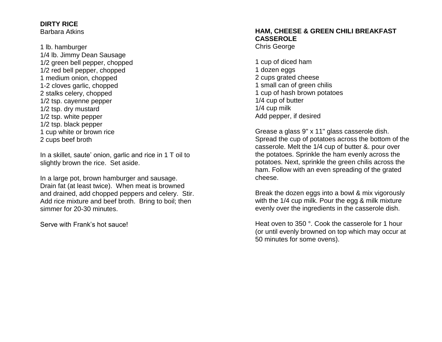#### **DIRTY RICE** Barbara Atkins

1 lb. hamburger 1/4 lb. Jimmy Dean Sausage 1/2 green bell pepper, chopped 1/2 red bell pepper, chopped 1 medium onion, chopped 1-2 cloves garlic, chopped 2 stalks celery, chopped 1/2 tsp. cayenne pepper 1/2 tsp. dry mustard 1/2 tsp. white pepper 1/2 tsp. black pepper 1 cup white or brown rice 2 cups beef broth

In a skillet, saute' onion, garlic and rice in 1 T oil to slightly brown the rice. Set aside.

In a large pot, brown hamburger and sausage. Drain fat (at least twice). When meat is browned and drained, add chopped peppers and celery. Stir. Add rice mixture and beef broth. Bring to boil; then simmer for 20-30 minutes.

Serve with Frank's hot sauce!

#### **HAM, CHEESE & GREEN CHILI BREAKFAST CASSEROLE** Chris George

1 cup of diced ham 1 dozen eggs 2 cups grated cheese 1 small can of green chilis 1 cup of hash brown potatoes 1/4 cup of butter 1/4 cup milk Add pepper, if desired

Grease a glass 9" x 11" glass casserole dish. Spread the cup of potatoes across the bottom of the casserole. Melt the 1/4 cup of butter &. pour over the potatoes. Sprinkle the ham evenly across the potatoes. Next, sprinkle the green chilis across the ham. Follow with an even spreading of the grated cheese.

Break the dozen eggs into a bowl & mix vigorously with the 1/4 cup milk. Pour the egg & milk mixture evenly over the ingredients in the casserole dish.

Heat oven to 350 °. Cook the casserole for 1 hour (or until evenly browned on top which may occur at 50 minutes for some ovens).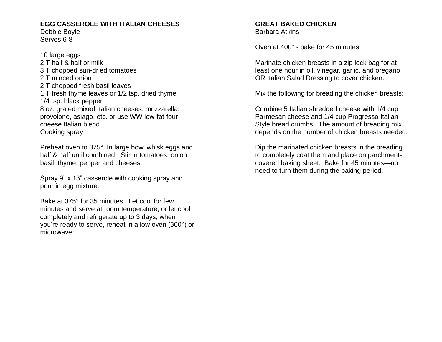## **EGG CASSEROLE WITH ITALIAN CHEESES**

Debbie Boyle Serves 6-8

10 large eggs 2 T half & half or milk 3 T chopped sun-dried tomatoes 2 T minced onion 2 T chopped fresh basil leaves 1 T fresh thyme leaves or 1/2 tsp. dried thyme 1/4 tsp. black pepper 8 oz. grated mixed Italian cheeses: mozzarella, provolone, asiago, etc. or use WW low-fat-fourcheese Italian blend Cooking spray

Preheat oven to 375°. In large bowl whisk eggs and half & half until combined. Stir in tomatoes, onion, basil, thyme, pepper and cheeses.

Spray 9" x 13" casserole with cooking spray and pour in egg mixture.

Bake at 375° for 35 minutes. Let cool for few minutes and serve at room temperature, or let cool completely and refrigerate up to 3 days; when you're ready to serve, reheat in a low oven (300°) or microwave.

#### **GREAT BAKED CHICKEN** Barbara Atkins

Oven at 400° - bake for 45 minutes

Marinate chicken breasts in a zip lock bag for at least one hour in oil, vinegar, garlic, and oregano OR Italian Salad Dressing to cover chicken.

Mix the following for breading the chicken breasts:

Combine 5 Italian shredded cheese with 1/4 cup Parmesan cheese and 1/4 cup Progresso Italian Style bread crumbs. The amount of breading mix depends on the number of chicken breasts needed.

Dip the marinated chicken breasts in the breading to completely coat them and place on parchmentcovered baking sheet. Bake for 45 minutes—no need to turn them during the baking period.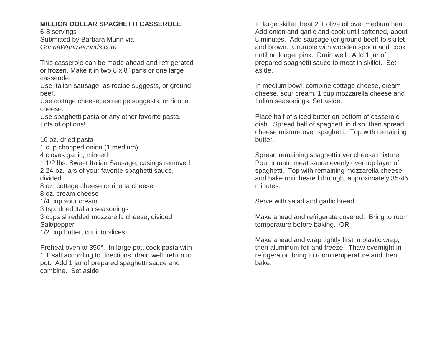## **MILLION DOLLAR SPAGHETTI CASSEROLE**

6-8 servings Submitted by Barbara Munn via *GonnaWantSeconds.com*

This casserole can be made ahead and refrigerated or frozen. Make it in two 8 x 8" pans or one large casserole.

Use Italian sausage, as recipe suggests, or ground beef.

Use cottage cheese, as recipe suggests, or ricotta cheese.

Use spaghetti pasta or any other favorite pasta. Lots of options!

16 oz. dried pasta 1 cup chopped onion (1 medium) 4 cloves garlic, minced 1 1/2 lbs. Sweet Italian Sausage, casings removed 2 24-oz. jars of your favorite spaghetti sauce, divided 8 oz. cottage cheese or ricotta cheese 8 oz. cream cheese 1/4 cup sour cream 3 tsp. dried Italian seasonings 3 cups shredded mozzarella cheese, divided Salt/pepper 1/2 cup butter, cut into slices

Preheat oven to 350°. In large pot, cook pasta with 1 T salt according to directions; drain well; return to pot. Add 1 jar of prepared spaghetti sauce and combine. Set aside.

In large skillet, heat 2 T olive oil over medium heat. Add onion and garlic and cook until softened, about 5 minutes. Add sausage (or ground beef) to skillet and brown. Crumble with wooden spoon and cook until no longer pink. Drain well. Add 1 jar of prepared spaghetti sauce to meat in skillet. Set aside.

In medium bowl, combine cottage cheese, cream cheese, sour cream, 1 cup mozzarella cheese and Italian seasonings. Set aside.

Place half of sliced butter on bottom of casserole dish. Spread half of spaghetti in dish, then spread cheese mixture over spaghetti. Top with remaining butter.

Spread remaining spaghetti over cheese mixture. Pour tomato meat sauce evenly over top layer of spaghetti. Top with remaining mozzarella cheese and bake until heated through, approximately 35-45 minutes.

Serve with salad and garlic bread.

Make ahead and refrigerate covered. Bring to room temperature before baking. OR

Make ahead and wrap tightly first in plastic wrap, then aluminum foil and freeze. Thaw overnight in refrigerator, bring to room temperature and then bake.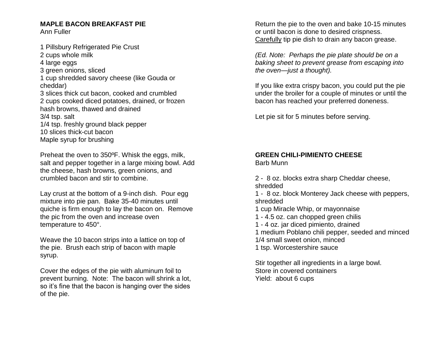#### **MAPLE BACON BREAKFAST PIE** Ann Fuller

1 Pillsbury Refrigerated Pie Crust 2 cups whole milk 4 large eggs 3 green onions, sliced 1 cup shredded savory cheese (like Gouda or cheddar) 3 slices thick cut bacon, cooked and crumbled 2 cups cooked diced potatoes, drained, or frozen hash browns, thawed and drained 3/4 tsp. salt 1/4 tsp. freshly ground black pepper 10 slices thick-cut bacon Maple syrup for brushing

Preheat the oven to 350ºF. Whisk the eggs, milk, salt and pepper together in a large mixing bowl. Add the cheese, hash browns, green onions, and crumbled bacon and stir to combine.

Lay crust at the bottom of a 9-inch dish. Pour egg mixture into pie pan. Bake 35-40 minutes until quiche is firm enough to lay the bacon on. Remove the pic from the oven and increase oven temperature to 450°.

Weave the 10 bacon strips into a lattice on top of the pie. Brush each strip of bacon with maple syrup.

Cover the edges of the pie with aluminum foil to prevent burning. Note: The bacon will shrink a lot, so it's fine that the bacon is hanging over the sides of the pie.

Return the pie to the oven and bake 10-15 minutes or until bacon is done to desired crispness. Carefully tip pie dish to drain any bacon grease.

*(Ed. Note: Perhaps the pie plate should be on a baking sheet to prevent grease from escaping into the oven—just a thought).*

If you like extra crispy bacon, you could put the pie under the broiler for a couple of minutes or until the bacon has reached your preferred doneness.

Let pie sit for 5 minutes before serving.

#### **GREEN CHILI-PIMIENTO CHEESE** Barb Munn

2 - 8 oz. blocks extra sharp Cheddar cheese, shredded

1 - 8 oz. block Monterey Jack cheese with peppers, shredded

1 cup Miracle Whip, or mayonnaise

- 1 4.5 oz. can chopped green chilis
- 1 4 oz. jar diced pimiento, drained

1 medium Poblano chili pepper, seeded and minced 1/4 small sweet onion, minced

1 tsp. Worcestershire sauce

Stir together all ingredients in a large bowl. Store in covered containers Yield: about 6 cups